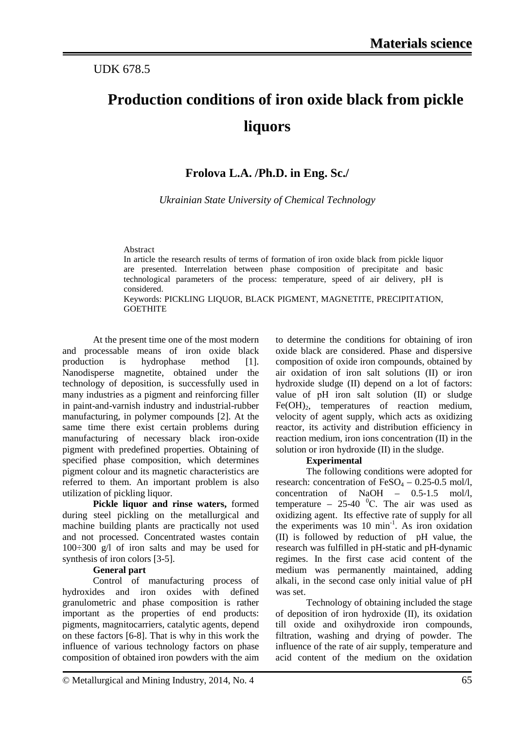## UDK 678.5

# **Production conditions of iron oxide black from pickle liquors**

# **Frolova L.A. /Ph.D. in Eng. Sc./**

*Ukrainian State University of Chemical Technology*

Abstract

In article the research results of terms of formation of iron oxide black from pickle liquor are presented. Interrelation between phase composition of precipitate and basic technological parameters of the process: temperature, speed of air delivery, рН is considered.

Keywords: PICKLING LIQUOR, BLACK PIGMENT, MAGNETITE, PRECIPITATION, GOETHITE

At the present time one of the most modern and processable means of iron oxide black production is hydrophase method [1]. Nanodisperse magnetite, obtained under the technology of deposition, is successfully used in many industries as a pigment and reinforcing filler in paint-and-varnish industry and industrial-rubber manufacturing, in polymer compounds [2]. At the same time there exist certain problems during manufacturing of necessary black iron-oxide pigment with predefined properties. Obtaining of specified phase composition, which determines pigment colour and its magnetic characteristics are referred to them. An important problem is also utilization of pickling liquor.

**Pickle liquor and rinse waters,** formed during steel pickling on the metallurgical and machine building plants are practically not used and not processed. Concentrated wastes contain 100÷300 g/l of iron salts and may be used for synthesis of iron colors [3-5].

#### **General part**

Control of manufacturing process of hydroxides and iron oxides with defined granulometric and phase composition is rather important as the properties of end products: pigments, magnitocarriers, catalytic agents, depend on these factors [6-8]. That is why in this work the influence of various technology factors on phase composition of obtained iron powders with the aim to determine the conditions for obtaining of iron oxide black are considered. Phase and dispersive composition of oxide iron compounds, obtained by air oxidation of iron salt solutions (II) or iron hydroxide sludge (II) depend on a lot of factors: value of рН iron salt solution (II) or sludge  $Fe(OH)_{2}$ , temperatures of reaction medium, velocity of agent supply, which acts as oxidizing reactor, its activity and distribution efficiency in reaction medium, iron ions concentration (II) in the solution or iron hydroxide (II) in the sludge.

## **Experimental**

The following conditions were adopted for research: concentration of  $FeSO_4 - 0.25 - 0.5$  mol/l, concentration of NaOH – 0.5-1.5 mol/l, temperature  $-25-40$  <sup>o</sup>C. The air was used as oxidizing agent. Its effective rate of supply for all the experiments was 10 min<sup>-1</sup>. As iron oxidation (II) is followed by reduction of pH value, the research was fulfilled in pH-static and pH-dynamic regimes. In the first case acid content of the medium was permanently maintained, adding alkali, in the second case only initial value of pH was set.

Technology of obtaining included the stage of deposition of iron hydroxide (II), its oxidation till oxide and oxihydroxide iron compounds, filtration, washing and drying of powder. The influence of the rate of air supply, temperature and acid content of the medium on the oxidation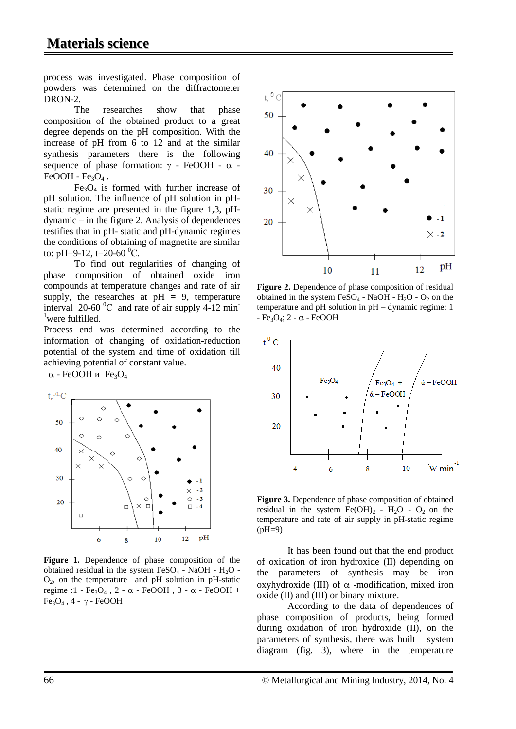process was investigated. Phase composition of powders was determined on the diffractometer DRON-2.

The researches show that phase composition of the obtained product to a great degree depends on the pH composition. With the increase of pH from 6 to 12 and at the similar synthesis parameters there is the following sequence of phase formation:  $\gamma$  - FeOOH -  $\alpha$  - $FeOOH - Fe<sub>3</sub>O<sub>4</sub>$ .

 $Fe<sub>3</sub>O<sub>4</sub>$  is formed with further increase of pH solution. The influence of pH solution in pHstatic regime are presented in the figure 1,3, pHdynamic – in the figure 2. Analysis of dependences testifies that in pH- static and pH-dynamic regimes the conditions of obtaining of magnetite are similar to: pH=9-12, t=20-60 <sup>0</sup>C.

To find out regularities of changing of phase composition of obtained oxide iron compounds at temperature changes and rate of air supply, the researches at  $pH = 9$ , temperature interval  $20-60$  °C and rate of air supply 4-12 min<sup>-</sup> 1 were fulfilled.

Process end was determined according to the information of changing of oxidation-reduction potential of the system and time of oxidation till achieving potential of constant value.

 $\alpha$  - FeOOH и Fe<sub>3</sub>O<sub>4</sub>



**Figure 1.** Dependence of phase composition of the obtained residual in the system  $FeSO<sub>4</sub>$  - NaOH - H<sub>2</sub>O - $O<sub>2</sub>$ , on the temperature and pH solution in pH-static regime :1 - Fe<sub>3</sub>O<sub>4</sub>, 2 - α - FeOOH, 3 - α - FeOOH +  $Fe<sub>3</sub>O<sub>4</sub>$ , 4 - γ - FeOOH



Figure 2. Dependence of phase composition of residual obtained in the system  $FeSO_4$  - NaOH - H<sub>2</sub>O - O<sub>2</sub> on the temperature and pH solution in pH – dynamic regime: 1  $-$  Fe<sub>3</sub>O<sub>4</sub>; 2 -  $\alpha$  - FeOOH



**Figure 3.** Dependence of phase composition of obtained residual in the system  $Fe(OH)_2$  -  $H_2O$  -  $O_2$  on the temperature and rate of air supply in pH-static regime  $(pH=9)$ 

It has been found out that the end product of oxidation of iron hydroxide (II) depending on the parameters of synthesis may be iron oxyhydroxide (III) of  $\alpha$  -modification, mixed iron oxide (II) and (III) or binary mixture.

According to the data of dependences of phase composition of products, being formed during oxidation of iron hydroxide (II), on the parameters of synthesis, there was built system diagram (fig. 3), where in the temperature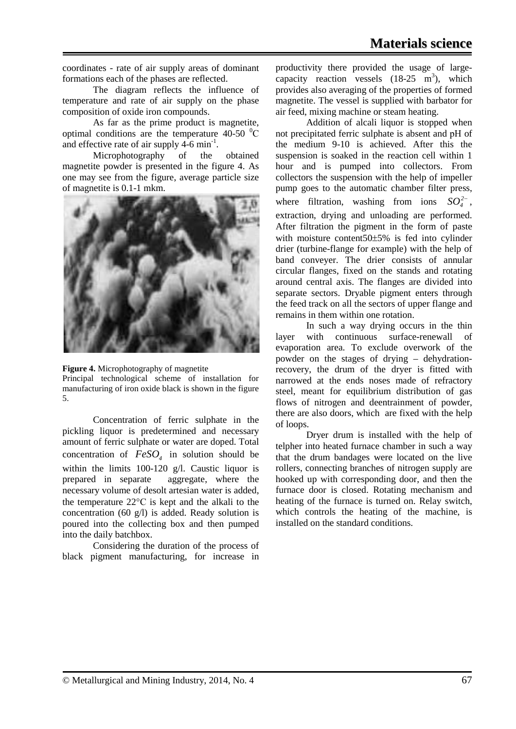coordinates - rate of air supply areas of dominant formations each of the phases are reflected.

The diagram reflects the influence of temperature and rate of air supply on the phase composition of oxide iron compounds.

As far as the prime product is magnetite, optimal conditions are the temperature 40-50  $\mathrm{^0C}$ and effective rate of air supply  $4-6$  min<sup>-1</sup>.

Microphotography of the obtained magnetite powder is presented in the figure 4. As one may see from the figure, average particle size of magnetite is 0.1-1 mkm.



**Figure 4.** Microphotography of magnetite Principal technological scheme of installation for manufacturing of iron oxide black is shown in the figure 5.

Concentration of ferric sulphate in the pickling liquor is predetermined and necessary amount of ferric sulphate or water are doped. Total concentration of  $FeSO<sub>4</sub>$  in solution should be within the limits 100-120 g/l. Caustic liquor is prepared in separate aggregate, where the necessary volume of desolt artesian water is added, the temperature 22°С is kept and the alkali to the concentration (60 g/l) is added. Ready solution is poured into the collecting box and then pumped into the daily batchbox.

Considering the duration of the process of black pigment manufacturing, for increase in productivity there provided the usage of largecapacity reaction vessels  $(18-25 \text{ m}^3)$ , which provides also averaging of the properties of formed magnetite. The vessel is supplied with barbator for air feed, mixing machine or steam heating.

Addition of alcali liquor is stopped when not precipitated ferric sulphate is absent and рН of the medium 9-10 is achieved. After this the suspension is soaked in the reaction cell within 1 hour and is pumped into collectors. From collectors the suspension with the help of impeller pump goes to the automatic chamber filter press, where filtration, washing from ions  $SO_4^{2-}$ , extraction, drying and unloading are performed. After filtration the pigment in the form of paste with moisture content50±5% is fed into cylinder drier (turbine-flange for example) with the help of band conveyer. The drier consists of annular circular flanges, fixed on the stands and rotating around central axis. The flanges are divided into separate sectors. Dryable pigment enters through the feed track on all the sectors of upper flange and remains in them within one rotation.

In such a way drying occurs in the thin layer with continuous surface-renewall of evaporation area. To exclude overwork of the powder on the stages of drying – dehydrationrecovery, the drum of the dryer is fitted with narrowed at the ends noses made of refractory steel, meant for equilibrium distribution of gas flows of nitrogen and deentrainment of powder, there are also doors, which are fixed with the help of loops.

Dryer drum is installed with the help of telpher into heated furnace chamber in such a way that the drum bandages were located on the live rollers, connecting branches of nitrogen supply are hooked up with corresponding door, and then the furnace door is closed. Rotating mechanism and heating of the furnace is turned on. Relay switch, which controls the heating of the machine, is installed on the standard conditions.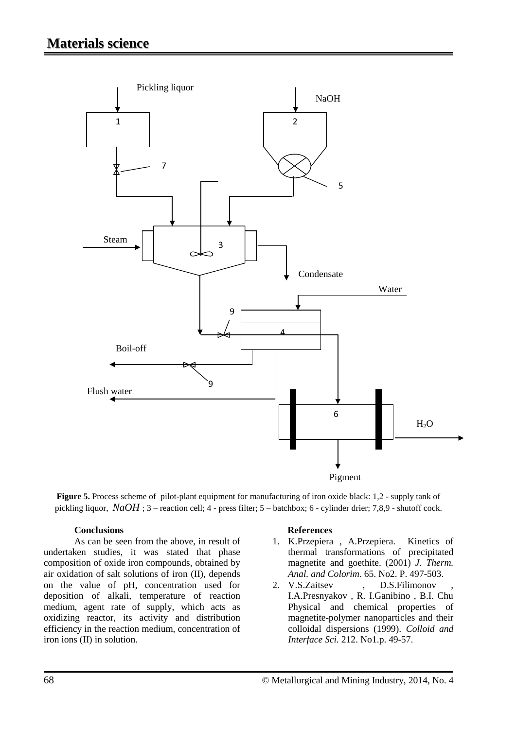

**Figure 5.** Process scheme ofpilot-plant equipment for manufacturing of iron oxide black: 1,2 - supply tank of pickling liquor, *NaOH* ; 3 – reaction cell; 4 - press filter; 5 – batchbox; 6 - cylinder drier; 7,8,9 - shutoff cock.

## **Conclusions**

As can be seen from the above, in result of undertaken studies, it was stated that phase composition of oxide iron compounds, obtained by air oxidation of salt solutions of iron (II), depends on the value of pH, concentration used for deposition of alkali, temperature of reaction medium, agent rate of supply, which acts as oxidizing reactor, its activity and distribution efficiency in the reaction medium, concentration of iron ions (II) in solution.

#### **References**

- 1. K.Przepiera , A.Przepiera. Kinetics of thermal transformations of precipitated magnetite and goethite. (2001) *J. Therm. Anal. and Colorim*. 65. No2. P. 497-503.
- 2. V.S.Zaitsev , D.S.Filimonov I.A.Presnyakov , R. I.Ganibino , B.I. Chu Physical and chemical properties of magnetite-polymer nanoparticles and their colloidal dispersions (1999). *Colloid and Interface Sci.* 212. No1.p. 49-57.